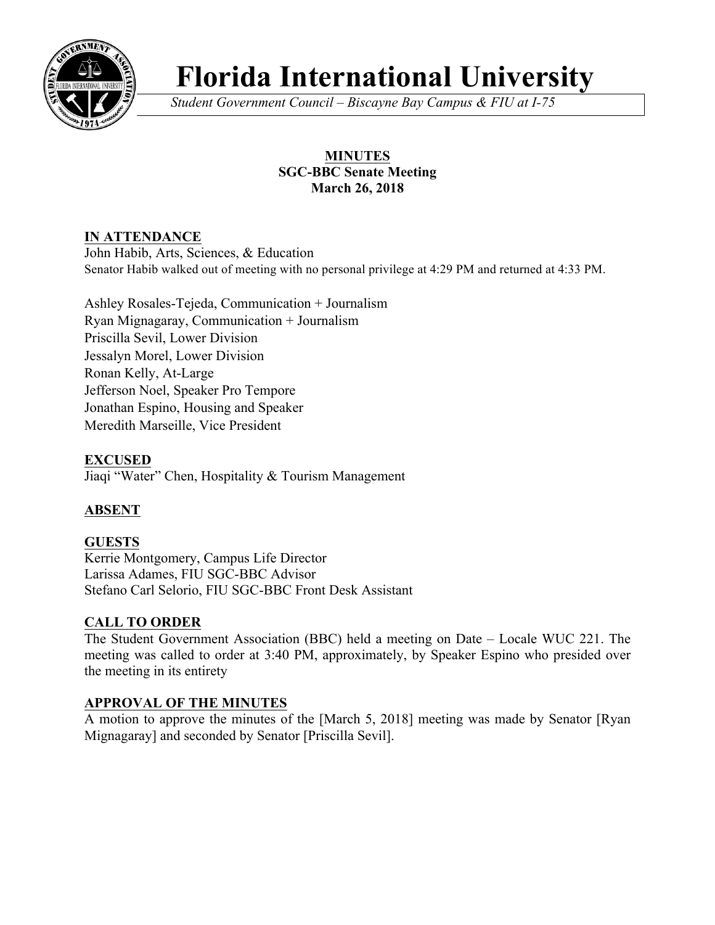

# **Florida International University**

*Student Government Council – Biscayne Bay Campus & FIU at I-75*

## **MINUTES SGC-BBC Senate Meeting March 26, 2018**

## **IN ATTENDANCE**

John Habib, Arts, Sciences, & Education Senator Habib walked out of meeting with no personal privilege at 4:29 PM and returned at 4:33 PM.

Ashley Rosales-Tejeda, Communication + Journalism Ryan Mignagaray, Communication + Journalism Priscilla Sevil, Lower Division Jessalyn Morel, Lower Division Ronan Kelly, At-Large Jefferson Noel, Speaker Pro Tempore Jonathan Espino, Housing and Speaker Meredith Marseille, Vice President

**EXCUSED** Jiaqi "Water" Chen, Hospitality & Tourism Management

# **ABSENT**

#### **GUESTS** Kerrie Montgomery, Campus Life Director Larissa Adames, FIU SGC-BBC Advisor Stefano Carl Selorio, FIU SGC-BBC Front Desk Assistant

# **CALL TO ORDER**

The Student Government Association (BBC) held a meeting on Date – Locale WUC 221. The meeting was called to order at 3:40 PM, approximately, by Speaker Espino who presided over the meeting in its entirety

## **APPROVAL OF THE MINUTES**

A motion to approve the minutes of the [March 5, 2018] meeting was made by Senator [Ryan Mignagaray] and seconded by Senator [Priscilla Sevil].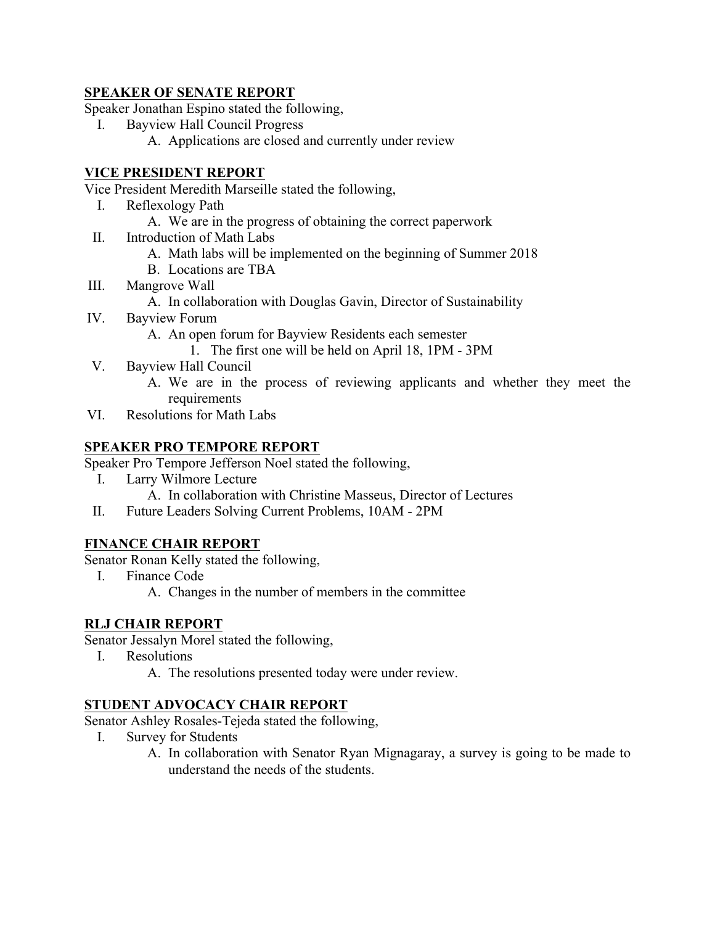#### **SPEAKER OF SENATE REPORT**

Speaker Jonathan Espino stated the following,

- I. Bayview Hall Council Progress
	- A. Applications are closed and currently under review

#### **VICE PRESIDENT REPORT**

Vice President Meredith Marseille stated the following,

- I. Reflexology Path
	- A. We are in the progress of obtaining the correct paperwork
- II. Introduction of Math Labs
	- A. Math labs will be implemented on the beginning of Summer 2018
	- B. Locations are TBA
- III. Mangrove Wall
	- A. In collaboration with Douglas Gavin, Director of Sustainability
- IV. Bayview Forum
	- A. An open forum for Bayview Residents each semester
		- 1. The first one will be held on April 18, 1PM 3PM
- V. Bayview Hall Council
	- A. We are in the process of reviewing applicants and whether they meet the requirements
- VI. Resolutions for Math Labs

#### **SPEAKER PRO TEMPORE REPORT**

Speaker Pro Tempore Jefferson Noel stated the following,

- I. Larry Wilmore Lecture
	- A. In collaboration with Christine Masseus, Director of Lectures
- II. Future Leaders Solving Current Problems, 10AM 2PM

#### **FINANCE CHAIR REPORT**

Senator Ronan Kelly stated the following,

- I. Finance Code
	- A. Changes in the number of members in the committee

#### **RLJ CHAIR REPORT**

Senator Jessalyn Morel stated the following,

- I. Resolutions
	- A. The resolutions presented today were under review.

#### **STUDENT ADVOCACY CHAIR REPORT**

Senator Ashley Rosales-Tejeda stated the following,

- I. Survey for Students
	- A. In collaboration with Senator Ryan Mignagaray, a survey is going to be made to understand the needs of the students.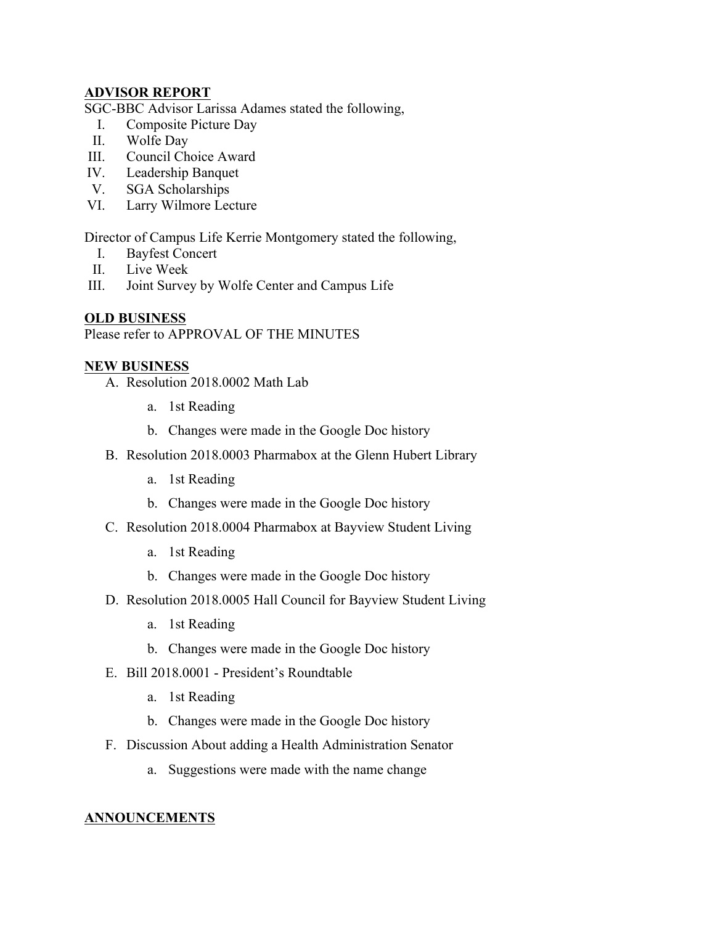#### **ADVISOR REPORT**

SGC-BBC Advisor Larissa Adames stated the following,

- I. Composite Picture Day
- II. Wolfe Day
- III. Council Choice Award
- IV. Leadership Banquet
- V. SGA Scholarships
- VI. Larry Wilmore Lecture

Director of Campus Life Kerrie Montgomery stated the following,

- I. Bayfest Concert
- II. Live Week
- III. Joint Survey by Wolfe Center and Campus Life

#### **OLD BUSINESS**

Please refer to APPROVAL OF THE MINUTES

#### **NEW BUSINESS**

- A. Resolution 2018.0002 Math Lab
	- a. 1st Reading
	- b. Changes were made in the Google Doc history
- B. Resolution 2018.0003 Pharmabox at the Glenn Hubert Library
	- a. 1st Reading
	- b. Changes were made in the Google Doc history
- C. Resolution 2018.0004 Pharmabox at Bayview Student Living
	- a. 1st Reading
	- b. Changes were made in the Google Doc history
- D. Resolution 2018.0005 Hall Council for Bayview Student Living
	- a. 1st Reading
	- b. Changes were made in the Google Doc history
- E. Bill 2018.0001 President's Roundtable
	- a. 1st Reading
	- b. Changes were made in the Google Doc history
- F. Discussion About adding a Health Administration Senator
	- a. Suggestions were made with the name change

#### **ANNOUNCEMENTS**